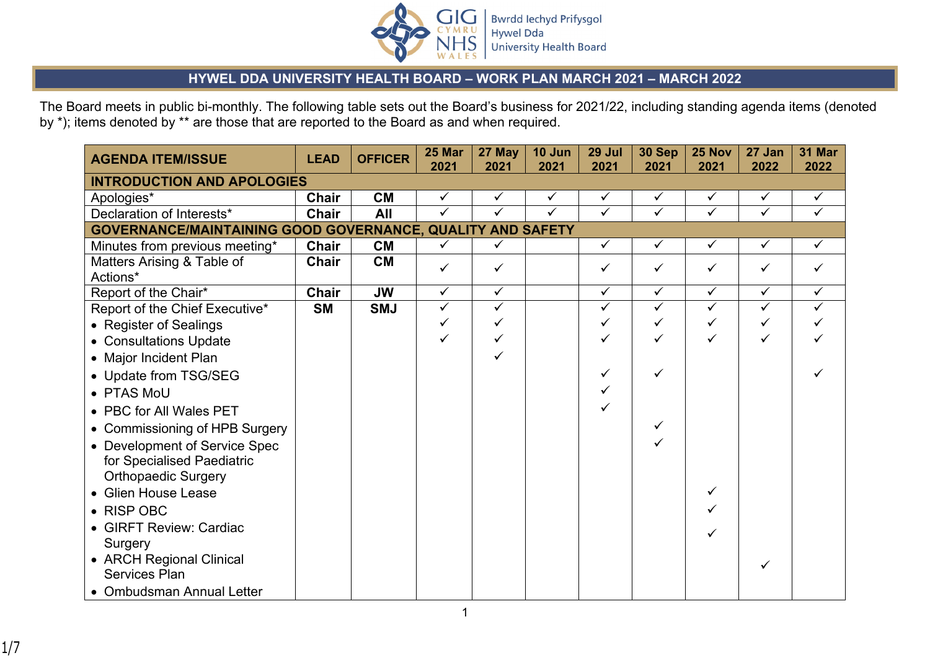

## **HYWEL DDA UNIVERSITY HEALTH BOARD – WORK PLAN MARCH 2021 – MARCH 2022**

The Board meets in public bi-monthly. The following table sets out the Board's business for 2021/22, including standing agenda items (denoted by \*); items denoted by \*\* are those that are reported to the Board as and when required.

| <b>AGENDA ITEM/ISSUE</b>                                   | <b>LEAD</b>  | <b>OFFICER</b> | 25 Mar<br>2021 | 27 May<br>2021 | 10 Jun<br>2021 | 29 Jul<br>2021 | 30 Sep<br>2021 | 25 Nov<br>2021          | 27 Jan<br>2022 | 31 Mar<br>2022 |
|------------------------------------------------------------|--------------|----------------|----------------|----------------|----------------|----------------|----------------|-------------------------|----------------|----------------|
| <b>INTRODUCTION AND APOLOGIES</b>                          |              |                |                |                |                |                |                |                         |                |                |
| Apologies*                                                 | Chair        | <b>CM</b>      | $\checkmark$   | $\checkmark$   | $\checkmark$   | $\checkmark$   | ✓              | $\checkmark$            | $\checkmark$   | $\checkmark$   |
| Declaration of Interests*                                  | <b>Chair</b> | All            | $\checkmark$   | $\checkmark$   | ✓              | $\checkmark$   | ✓              | ✓                       | ✓              | ✓              |
| GOVERNANCE/MAINTAINING GOOD GOVERNANCE, QUALITY AND SAFETY |              |                |                |                |                |                |                |                         |                |                |
| Minutes from previous meeting*                             | <b>Chair</b> | <b>CM</b>      | $\checkmark$   | $\checkmark$   |                | $\checkmark$   | $\checkmark$   | $\checkmark$            | $\checkmark$   | $\checkmark$   |
| Matters Arising & Table of                                 | Chair        | <b>CM</b>      | $\checkmark$   | ✓              |                | ✓              | ✓              | ✓                       | ✓              | ✓              |
| Actions*                                                   |              |                |                |                |                |                |                |                         |                |                |
| Report of the Chair*                                       | <b>Chair</b> | <b>JW</b>      | $\checkmark$   | $\checkmark$   |                | $\checkmark$   | $\checkmark$   | $\overline{\checkmark}$ | $\checkmark$   | $\checkmark$   |
| Report of the Chief Executive*                             | <b>SM</b>    | <b>SMJ</b>     | $\checkmark$   | $\checkmark$   |                | $\checkmark$   | $\checkmark$   | $\checkmark$            | $\checkmark$   | ✓              |
| • Register of Sealings                                     |              |                |                | ✓              |                | ✓              |                | ✓                       | ✓              |                |
| • Consultations Update                                     |              |                | ✓              |                |                |                | ✓              | ✓                       | ✓              |                |
| • Major Incident Plan                                      |              |                |                |                |                |                |                |                         |                |                |
| • Update from TSG/SEG                                      |              |                |                |                |                | ✓              | ✓              |                         |                |                |
| • PTAS MoU                                                 |              |                |                |                |                | ✓              |                |                         |                |                |
| • PBC for All Wales PET                                    |              |                |                |                |                |                |                |                         |                |                |
| • Commissioning of HPB Surgery                             |              |                |                |                |                |                | ✓              |                         |                |                |
| • Development of Service Spec                              |              |                |                |                |                |                |                |                         |                |                |
| for Specialised Paediatric                                 |              |                |                |                |                |                |                |                         |                |                |
| <b>Orthopaedic Surgery</b>                                 |              |                |                |                |                |                |                |                         |                |                |
| • Glien House Lease                                        |              |                |                |                |                |                |                | ✓                       |                |                |
| $\bullet$ RISP OBC                                         |              |                |                |                |                |                |                |                         |                |                |
| • GIRFT Review: Cardiac                                    |              |                |                |                |                |                |                |                         |                |                |
| Surgery                                                    |              |                |                |                |                |                |                |                         |                |                |
| • ARCH Regional Clinical                                   |              |                |                |                |                |                |                |                         |                |                |
| <b>Services Plan</b>                                       |              |                |                |                |                |                |                |                         |                |                |
| • Ombudsman Annual Letter                                  |              |                |                |                |                |                |                |                         |                |                |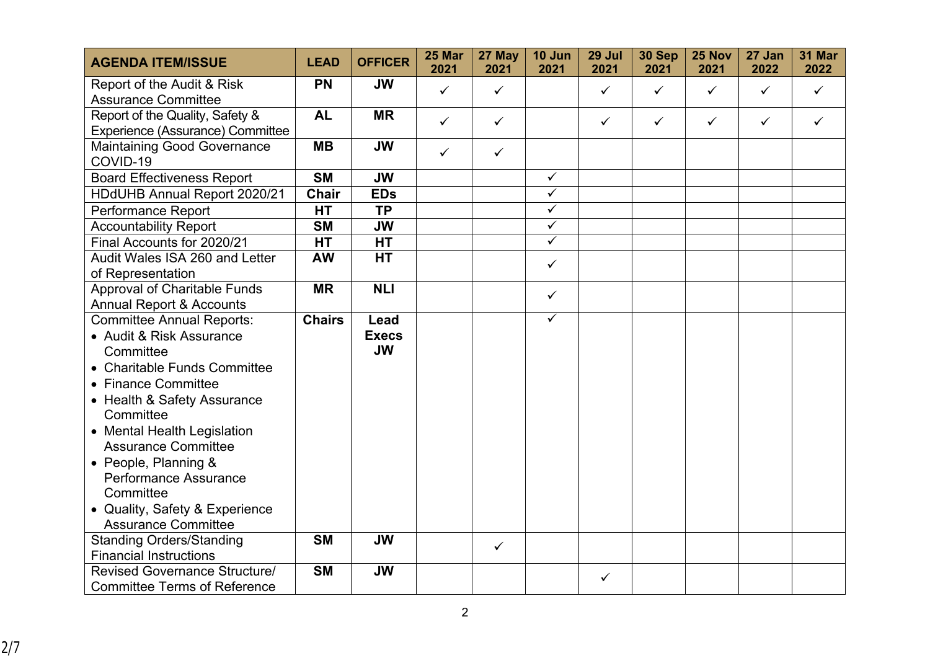| <b>AGENDA ITEM/ISSUE</b>                                            | <b>LEAD</b>   | <b>OFFICER</b> | 25 Mar<br>2021 | 27 May<br>2021 | 10 Jun<br>2021          | 29 Jul<br>2021 | 30 Sep<br>2021 | 25 Nov<br>2021 | 27 Jan<br>2022 | <b>31 Mar</b><br>2022 |
|---------------------------------------------------------------------|---------------|----------------|----------------|----------------|-------------------------|----------------|----------------|----------------|----------------|-----------------------|
| Report of the Audit & Risk<br><b>Assurance Committee</b>            | <b>PN</b>     | <b>JW</b>      | $\checkmark$   | $\checkmark$   |                         | $\checkmark$   | $\checkmark$   | $\checkmark$   | $\checkmark$   | $\checkmark$          |
| Report of the Quality, Safety &<br>Experience (Assurance) Committee | <b>AL</b>     | <b>MR</b>      | $\checkmark$   | $\checkmark$   |                         | $\checkmark$   | $\checkmark$   | $\checkmark$   | $\checkmark$   | $\checkmark$          |
| <b>Maintaining Good Governance</b><br>COVID-19                      | <b>MB</b>     | <b>JW</b>      | $\checkmark$   | $\checkmark$   |                         |                |                |                |                |                       |
| <b>Board Effectiveness Report</b>                                   | <b>SM</b>     | <b>JW</b>      |                |                | $\checkmark$            |                |                |                |                |                       |
| HDdUHB Annual Report 2020/21                                        | <b>Chair</b>  | <b>EDs</b>     |                |                | $\checkmark$            |                |                |                |                |                       |
| Performance Report                                                  | <b>HT</b>     | <b>TP</b>      |                |                | $\overline{\checkmark}$ |                |                |                |                |                       |
| <b>Accountability Report</b>                                        | <b>SM</b>     | <b>JW</b>      |                |                | $\checkmark$            |                |                |                |                |                       |
| Final Accounts for 2020/21                                          | <b>HT</b>     | <b>HT</b>      |                |                | $\sqrt{}$               |                |                |                |                |                       |
| Audit Wales ISA 260 and Letter<br>of Representation                 | <b>AW</b>     | <b>HT</b>      |                |                | $\checkmark$            |                |                |                |                |                       |
| <b>Approval of Charitable Funds</b>                                 | <b>MR</b>     | <b>NLI</b>     |                |                |                         |                |                |                |                |                       |
| <b>Annual Report &amp; Accounts</b>                                 |               |                |                |                | $\checkmark$            |                |                |                |                |                       |
| <b>Committee Annual Reports:</b>                                    | <b>Chairs</b> | Lead           |                |                | $\checkmark$            |                |                |                |                |                       |
| • Audit & Risk Assurance                                            |               | <b>Execs</b>   |                |                |                         |                |                |                |                |                       |
| Committee                                                           |               | <b>JW</b>      |                |                |                         |                |                |                |                |                       |
| • Charitable Funds Committee                                        |               |                |                |                |                         |                |                |                |                |                       |
| • Finance Committee                                                 |               |                |                |                |                         |                |                |                |                |                       |
| • Health & Safety Assurance<br>Committee                            |               |                |                |                |                         |                |                |                |                |                       |
| • Mental Health Legislation                                         |               |                |                |                |                         |                |                |                |                |                       |
| <b>Assurance Committee</b>                                          |               |                |                |                |                         |                |                |                |                |                       |
| • People, Planning &                                                |               |                |                |                |                         |                |                |                |                |                       |
| Performance Assurance                                               |               |                |                |                |                         |                |                |                |                |                       |
| Committee                                                           |               |                |                |                |                         |                |                |                |                |                       |
| • Quality, Safety & Experience                                      |               |                |                |                |                         |                |                |                |                |                       |
| <b>Assurance Committee</b>                                          |               |                |                |                |                         |                |                |                |                |                       |
| <b>Standing Orders/Standing</b>                                     | <b>SM</b>     | <b>JW</b>      |                | $\checkmark$   |                         |                |                |                |                |                       |
| <b>Financial Instructions</b>                                       |               |                |                |                |                         |                |                |                |                |                       |
| Revised Governance Structure/                                       | <b>SM</b>     | <b>JW</b>      |                |                |                         | $\checkmark$   |                |                |                |                       |
| <b>Committee Terms of Reference</b>                                 |               |                |                |                |                         |                |                |                |                |                       |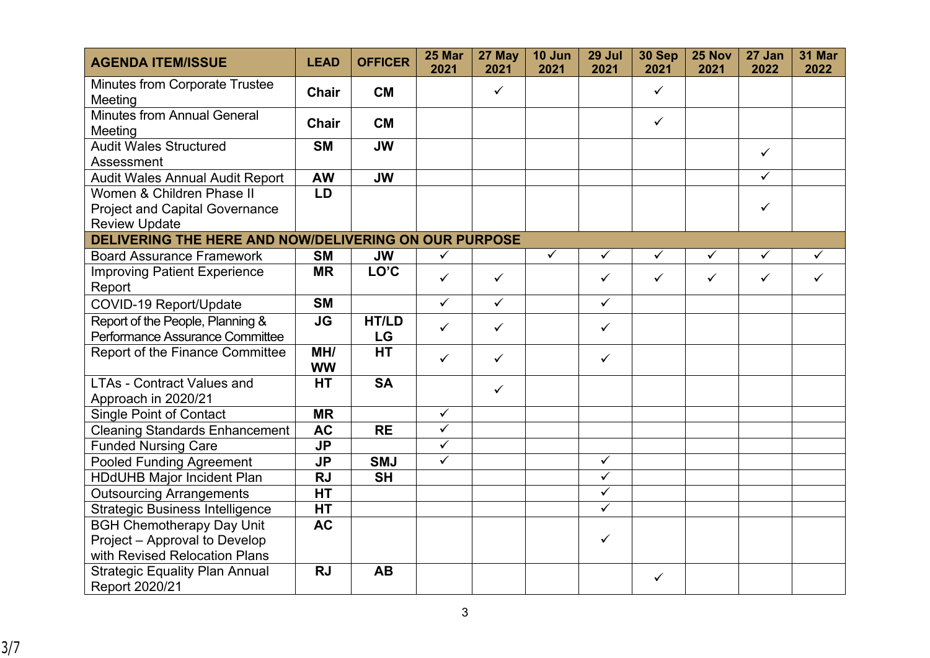| <b>AGENDA ITEM/ISSUE</b>                                                                   | <b>LEAD</b>      | <b>OFFICER</b> | 25 Mar<br>2021          | 27 May<br>2021 | 10 Jun<br>2021 | 29 Jul<br>2021          | 30 Sep<br>2021 | 25 Nov<br>2021 | 27 Jan<br>2022          | 31 Mar<br>2022 |
|--------------------------------------------------------------------------------------------|------------------|----------------|-------------------------|----------------|----------------|-------------------------|----------------|----------------|-------------------------|----------------|
| <b>Minutes from Corporate Trustee</b><br>Meeting                                           | <b>Chair</b>     | <b>CM</b>      |                         | $\checkmark$   |                |                         | $\checkmark$   |                |                         |                |
| <b>Minutes from Annual General</b><br>Meeting                                              | <b>Chair</b>     | <b>CM</b>      |                         |                |                |                         | $\checkmark$   |                |                         |                |
| <b>Audit Wales Structured</b><br>Assessment                                                | <b>SM</b>        | <b>JW</b>      |                         |                |                |                         |                |                | $\checkmark$            |                |
| <b>Audit Wales Annual Audit Report</b>                                                     | <b>AW</b>        | <b>JW</b>      |                         |                |                |                         |                |                | $\overline{\checkmark}$ |                |
| Women & Children Phase II<br><b>Project and Capital Governance</b><br><b>Review Update</b> | <b>LD</b>        |                |                         |                |                |                         |                |                | $\checkmark$            |                |
| DELIVERING THE HERE AND NOW/DELIVERING ON OUR PURPOSE                                      |                  |                |                         |                |                |                         |                |                |                         |                |
| <b>Board Assurance Framework</b>                                                           | <b>SM</b>        | <b>JW</b>      | $\checkmark$            |                | $\checkmark$   | $\checkmark$            | $\checkmark$   | $\checkmark$   | $\checkmark$            | $\checkmark$   |
| <b>Improving Patient Experience</b><br>Report                                              | <b>MR</b>        | LO'C           | $\checkmark$            | $\checkmark$   |                | $\checkmark$            | $\checkmark$   | $\checkmark$   | $\checkmark$            | $\checkmark$   |
| COVID-19 Report/Update                                                                     | <b>SM</b>        |                | $\checkmark$            | $\checkmark$   |                | $\checkmark$            |                |                |                         |                |
| Report of the People, Planning &<br>Performance Assurance Committee                        | <b>JG</b>        | HT/LD<br>LG    | $\checkmark$            | $\checkmark$   |                | $\checkmark$            |                |                |                         |                |
| Report of the Finance Committee                                                            | MH/<br><b>WW</b> | HT             | $\checkmark$            | $\checkmark$   |                | $\checkmark$            |                |                |                         |                |
| <b>LTAs - Contract Values and</b><br>Approach in 2020/21                                   | <b>HT</b>        | <b>SA</b>      |                         | $\checkmark$   |                |                         |                |                |                         |                |
| <b>Single Point of Contact</b>                                                             | <b>MR</b>        |                | $\checkmark$            |                |                |                         |                |                |                         |                |
| <b>Cleaning Standards Enhancement</b>                                                      | <b>AC</b>        | <b>RE</b>      | $\overline{\checkmark}$ |                |                |                         |                |                |                         |                |
| <b>Funded Nursing Care</b>                                                                 | <b>JP</b>        |                | $\checkmark$            |                |                |                         |                |                |                         |                |
| <b>Pooled Funding Agreement</b>                                                            | <b>JP</b>        | <b>SMJ</b>     | $\overline{\checkmark}$ |                |                | $\checkmark$            |                |                |                         |                |
| <b>HDdUHB Major Incident Plan</b>                                                          | <b>RJ</b>        | <b>SH</b>      |                         |                |                | $\overline{\checkmark}$ |                |                |                         |                |
| <b>Outsourcing Arrangements</b>                                                            | <b>HT</b>        |                |                         |                |                | $\checkmark$            |                |                |                         |                |
| <b>Strategic Business Intelligence</b>                                                     | <b>HT</b>        |                |                         |                |                | $\checkmark$            |                |                |                         |                |
| <b>BGH Chemotherapy Day Unit</b>                                                           | <b>AC</b>        |                |                         |                |                |                         |                |                |                         |                |
| Project - Approval to Develop                                                              |                  |                |                         |                |                | $\checkmark$            |                |                |                         |                |
| with Revised Relocation Plans                                                              |                  |                |                         |                |                |                         |                |                |                         |                |
| <b>Strategic Equality Plan Annual</b><br>Report 2020/21                                    | <b>RJ</b>        | <b>AB</b>      |                         |                |                |                         | $\checkmark$   |                |                         |                |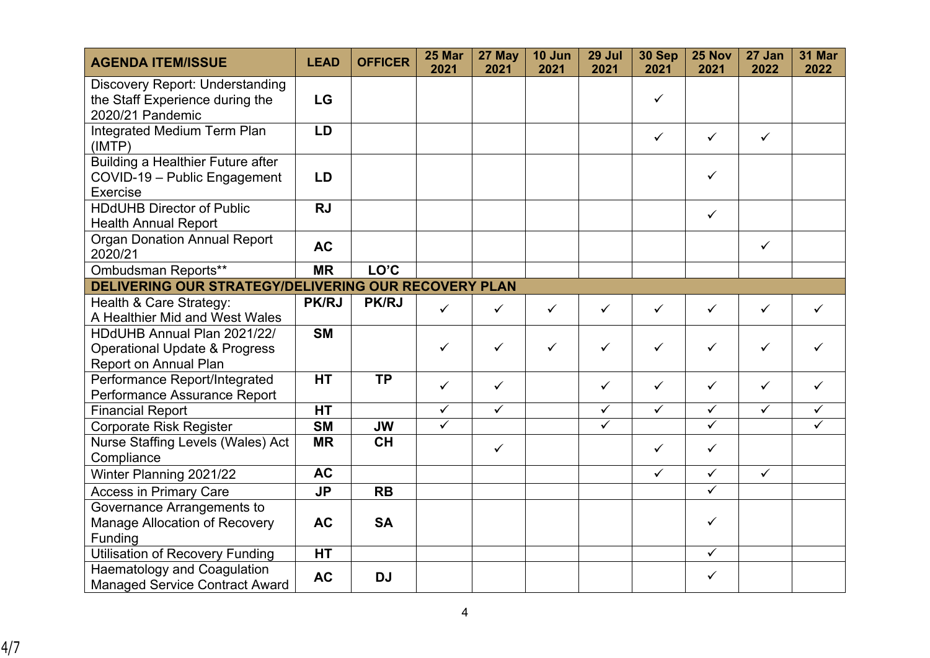| <b>AGENDA ITEM/ISSUE</b>                                                                    | <b>LEAD</b>  | <b>OFFICER</b> | 25 Mar<br>2021          | 27 May<br>2021          | 10 Jun<br>2021 | 29 Jul<br>2021          | 30 Sep<br>2021          | 25 Nov<br>2021          | 27 Jan<br>2022          | 31 Mar<br>2022 |
|---------------------------------------------------------------------------------------------|--------------|----------------|-------------------------|-------------------------|----------------|-------------------------|-------------------------|-------------------------|-------------------------|----------------|
| <b>Discovery Report: Understanding</b>                                                      |              |                |                         |                         |                |                         | $\checkmark$            |                         |                         |                |
| the Staff Experience during the<br>2020/21 Pandemic                                         | <b>LG</b>    |                |                         |                         |                |                         |                         |                         |                         |                |
| <b>Integrated Medium Term Plan</b><br>(IMTP)                                                | LD           |                |                         |                         |                |                         | $\checkmark$            | $\checkmark$            | $\checkmark$            |                |
| <b>Building a Healthier Future after</b><br>COVID-19 - Public Engagement<br><b>Exercise</b> | <b>LD</b>    |                |                         |                         |                |                         |                         | $\checkmark$            |                         |                |
| <b>HDdUHB Director of Public</b><br><b>Health Annual Report</b>                             | <b>RJ</b>    |                |                         |                         |                |                         |                         | $\checkmark$            |                         |                |
| <b>Organ Donation Annual Report</b><br>2020/21                                              | <b>AC</b>    |                |                         |                         |                |                         |                         |                         | $\checkmark$            |                |
| Ombudsman Reports**                                                                         | <b>MR</b>    | LO'C           |                         |                         |                |                         |                         |                         |                         |                |
| DELIVERING OUR STRATEGY/DELIVERING OUR RECOVERY PLAN                                        |              |                |                         |                         |                |                         |                         |                         |                         |                |
| Health & Care Strategy:<br>A Healthier Mid and West Wales                                   | <b>PK/RJ</b> | <b>PK/RJ</b>   | $\checkmark$            | $\checkmark$            | $\checkmark$   | $\checkmark$            | $\checkmark$            | $\checkmark$            | $\checkmark$            | ✓              |
| HDdUHB Annual Plan 2021/22/                                                                 | <b>SM</b>    |                |                         |                         |                |                         |                         |                         |                         |                |
| <b>Operational Update &amp; Progress</b><br>Report on Annual Plan                           |              |                | $\checkmark$            | $\checkmark$            | $\checkmark$   | $\checkmark$            | ✓                       | ✓                       | $\checkmark$            |                |
| Performance Report/Integrated                                                               | <b>HT</b>    | <b>TP</b>      | $\checkmark$            | $\checkmark$            |                | $\checkmark$            | $\checkmark$            | ✓                       | $\checkmark$            | ✓              |
| Performance Assurance Report                                                                |              |                |                         |                         |                |                         |                         |                         |                         |                |
| <b>Financial Report</b>                                                                     | <b>HT</b>    |                | $\overline{\checkmark}$ | $\overline{\checkmark}$ |                | $\sqrt{}$               | $\overline{\checkmark}$ | $\overline{\checkmark}$ | $\overline{\checkmark}$ | $\checkmark$   |
| <b>Corporate Risk Register</b>                                                              | <b>SM</b>    | <b>JW</b>      | $\overline{\checkmark}$ |                         |                | $\overline{\checkmark}$ |                         | $\overline{\checkmark}$ |                         | $\checkmark$   |
| Nurse Staffing Levels (Wales) Act<br>Compliance                                             | <b>MR</b>    | <b>CH</b>      |                         | $\checkmark$            |                |                         | $\checkmark$            | $\checkmark$            |                         |                |
| Winter Planning 2021/22                                                                     | <b>AC</b>    |                |                         |                         |                |                         | $\checkmark$            | $\checkmark$            | $\checkmark$            |                |
| <b>Access in Primary Care</b>                                                               | <b>JP</b>    | <b>RB</b>      |                         |                         |                |                         |                         | $\overline{\checkmark}$ |                         |                |
|                                                                                             |              |                |                         |                         |                |                         |                         |                         |                         |                |
| Governance Arrangements to<br>Manage Allocation of Recovery<br>Funding                      | <b>AC</b>    | <b>SA</b>      |                         |                         |                |                         |                         | $\checkmark$            |                         |                |
| <b>Utilisation of Recovery Funding</b>                                                      | <b>HT</b>    |                |                         |                         |                |                         |                         | $\checkmark$            |                         |                |
| <b>Haematology and Coagulation</b><br><b>Managed Service Contract Award</b>                 | <b>AC</b>    | <b>DJ</b>      |                         |                         |                |                         |                         | $\checkmark$            |                         |                |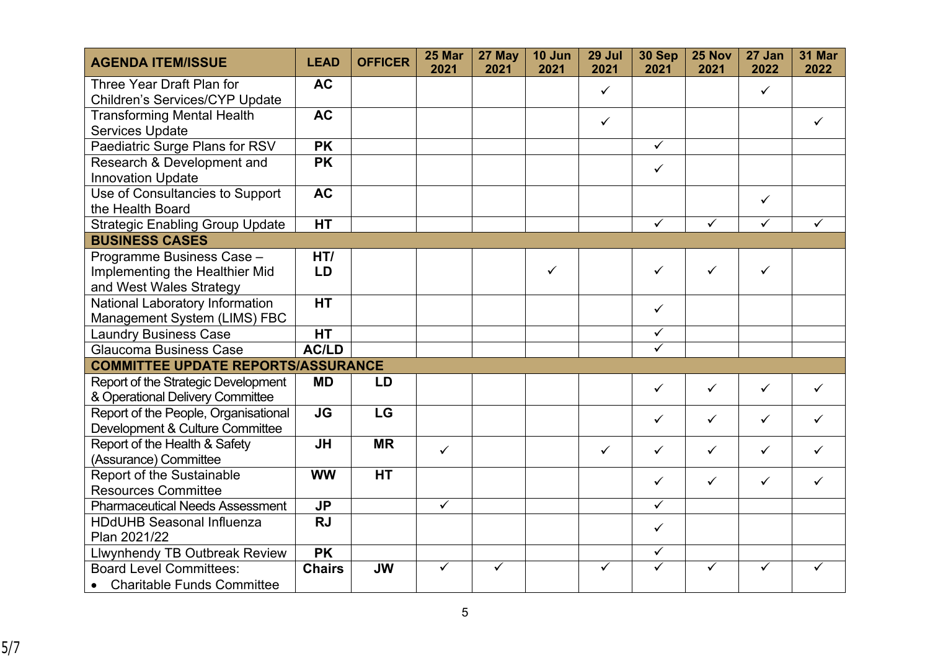| <b>AGENDA ITEM/ISSUE</b>                                                | <b>LEAD</b>    | <b>OFFICER</b> | 25 Mar<br>2021 | 27 May<br>2021 | 10 Jun<br>2021 | 29 Jul<br>2021 | 30 Sep<br>2021 | 25 Nov<br>2021 | 27 Jan<br>2022 | 31 Mar<br>2022 |
|-------------------------------------------------------------------------|----------------|----------------|----------------|----------------|----------------|----------------|----------------|----------------|----------------|----------------|
| Three Year Draft Plan for<br>Children's Services/CYP Update             | <b>AC</b>      |                |                |                |                | $\checkmark$   |                |                | $\checkmark$   |                |
| <b>Transforming Mental Health</b><br><b>Services Update</b>             | <b>AC</b>      |                |                |                |                | $\checkmark$   |                |                |                | ✓              |
| Paediatric Surge Plans for RSV                                          | <b>PK</b>      |                |                |                |                |                | $\checkmark$   |                |                |                |
| Research & Development and<br><b>Innovation Update</b>                  | <b>PK</b>      |                |                |                |                |                | $\checkmark$   |                |                |                |
| Use of Consultancies to Support<br>the Health Board                     | <b>AC</b>      |                |                |                |                |                |                |                | $\checkmark$   |                |
| <b>Strategic Enabling Group Update</b>                                  | <b>HT</b>      |                |                |                |                |                | $\checkmark$   | $\checkmark$   | $\checkmark$   | ✓              |
| <b>BUSINESS CASES</b>                                                   |                |                |                |                |                |                |                |                |                |                |
| Programme Business Case -<br>Implementing the Healthier Mid             | HT/<br>LD      |                |                |                | $\checkmark$   |                | ✓              | $\checkmark$   | $\checkmark$   |                |
| and West Wales Strategy                                                 | <b>HT</b>      |                |                |                |                |                |                |                |                |                |
| National Laboratory Information<br>Management System (LIMS) FBC         |                |                |                |                |                |                | $\checkmark$   |                |                |                |
| <b>Laundry Business Case</b>                                            | <b>HT</b>      |                |                |                |                |                | $\checkmark$   |                |                |                |
| <b>Glaucoma Business Case</b>                                           | <b>AC/LD</b>   |                |                |                |                |                | $\checkmark$   |                |                |                |
| <b>COMMITTEE UPDATE REPORTS/ASSURANCE</b>                               |                |                |                |                |                |                |                |                |                |                |
| Report of the Strategic Development<br>& Operational Delivery Committee | <b>MD</b>      | LD             |                |                |                |                | $\checkmark$   | ✓              | $\checkmark$   | $\checkmark$   |
| Report of the People, Organisational<br>Development & Culture Committee | <b>JG</b>      | LG             |                |                |                |                | $\checkmark$   | $\checkmark$   | $\checkmark$   | ✓              |
| Report of the Health & Safety<br>(Assurance) Committee                  | <b>JH</b>      | <b>MR</b>      | $\checkmark$   |                |                | $\checkmark$   | $\checkmark$   | $\checkmark$   | $\checkmark$   | ✓              |
| Report of the Sustainable<br><b>Resources Committee</b>                 | <b>WW</b>      | <b>HT</b>      |                |                |                |                | $\checkmark$   | $\checkmark$   | $\checkmark$   | ✓              |
| <b>Pharmaceutical Needs Assessment</b>                                  | J <sub>P</sub> |                | $\checkmark$   |                |                |                | $\checkmark$   |                |                |                |
| <b>HDdUHB Seasonal Influenza</b>                                        | <b>RJ</b>      |                |                |                |                |                |                |                |                |                |
| Plan 2021/22                                                            |                |                |                |                |                |                | $\checkmark$   |                |                |                |
| <b>Llwynhendy TB Outbreak Review</b>                                    | <b>PK</b>      |                |                |                |                |                | ✓              |                |                |                |
| <b>Board Level Committees:</b><br><b>Charitable Funds Committee</b>     | <b>Chairs</b>  | <b>JW</b>      | $\checkmark$   | ✓              |                | ✓              | ✓              | ✓              | ✓              | ✓              |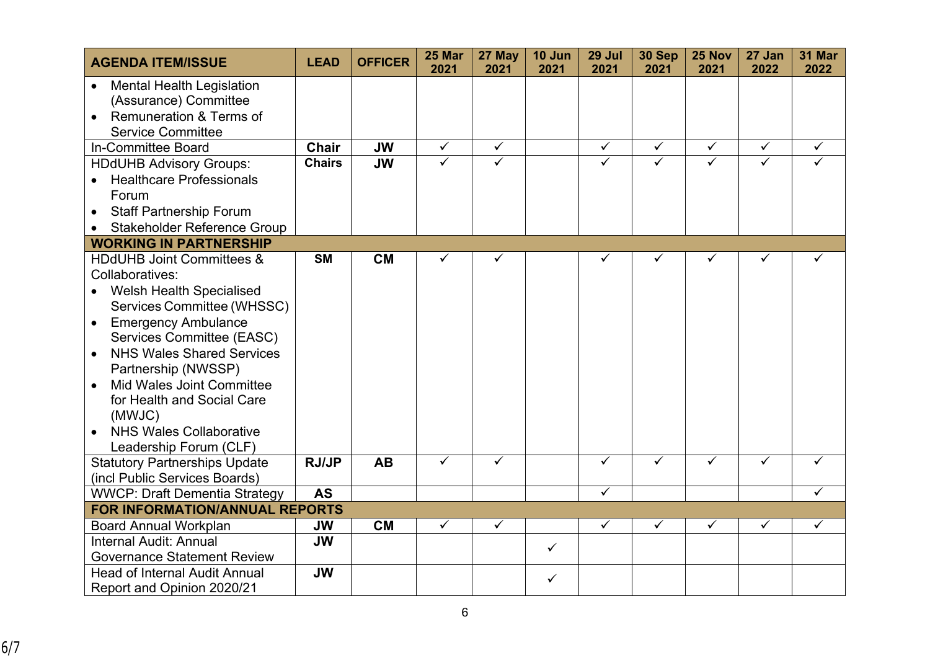| <b>AGENDA ITEM/ISSUE</b>                                                                                                      | <b>LEAD</b>   | <b>OFFICER</b> | 25 Mar<br>2021          | 27 May<br>2021          | 10 Jun<br>2021 | 29 Jul<br>2021          | 30 Sep<br>2021          | 25 Nov<br>2021          | 27 Jan<br>2022          | 31 Mar<br>2022 |
|-------------------------------------------------------------------------------------------------------------------------------|---------------|----------------|-------------------------|-------------------------|----------------|-------------------------|-------------------------|-------------------------|-------------------------|----------------|
| <b>Mental Health Legislation</b><br>(Assurance) Committee<br>Remuneration & Terms of<br>$\bullet$<br><b>Service Committee</b> |               |                |                         |                         |                |                         |                         |                         |                         |                |
| In-Committee Board                                                                                                            | <b>Chair</b>  | <b>JW</b>      | $\checkmark$            | $\checkmark$            |                | $\checkmark$            | $\checkmark$            | $\checkmark$            | $\checkmark$            | $\checkmark$   |
| <b>HDdUHB Advisory Groups:</b>                                                                                                | <b>Chairs</b> | <b>JW</b>      | $\checkmark$            | $\overline{\checkmark}$ |                | ✓                       | $\overline{\checkmark}$ | ✓                       |                         |                |
| <b>Healthcare Professionals</b>                                                                                               |               |                |                         |                         |                |                         |                         |                         |                         |                |
| Forum                                                                                                                         |               |                |                         |                         |                |                         |                         |                         |                         |                |
| <b>Staff Partnership Forum</b>                                                                                                |               |                |                         |                         |                |                         |                         |                         |                         |                |
| Stakeholder Reference Group                                                                                                   |               |                |                         |                         |                |                         |                         |                         |                         |                |
| <b>WORKING IN PARTNERSHIP</b>                                                                                                 |               |                |                         |                         |                |                         |                         |                         |                         |                |
| <b>HDdUHB Joint Committees &amp;</b>                                                                                          | <b>SM</b>     | <b>CM</b>      | $\checkmark$            | ✓                       |                | ✓                       | ✓                       | $\checkmark$            | ✓                       | ✓              |
| Collaboratives:                                                                                                               |               |                |                         |                         |                |                         |                         |                         |                         |                |
| <b>Welsh Health Specialised</b>                                                                                               |               |                |                         |                         |                |                         |                         |                         |                         |                |
| Services Committee (WHSSC)                                                                                                    |               |                |                         |                         |                |                         |                         |                         |                         |                |
| <b>Emergency Ambulance</b><br>$\bullet$                                                                                       |               |                |                         |                         |                |                         |                         |                         |                         |                |
| Services Committee (EASC)                                                                                                     |               |                |                         |                         |                |                         |                         |                         |                         |                |
| <b>NHS Wales Shared Services</b><br>Partnership (NWSSP)                                                                       |               |                |                         |                         |                |                         |                         |                         |                         |                |
| <b>Mid Wales Joint Committee</b>                                                                                              |               |                |                         |                         |                |                         |                         |                         |                         |                |
| for Health and Social Care                                                                                                    |               |                |                         |                         |                |                         |                         |                         |                         |                |
| (MWJC)                                                                                                                        |               |                |                         |                         |                |                         |                         |                         |                         |                |
| <b>NHS Wales Collaborative</b>                                                                                                |               |                |                         |                         |                |                         |                         |                         |                         |                |
| Leadership Forum (CLF)                                                                                                        |               |                |                         |                         |                |                         |                         |                         |                         |                |
| <b>Statutory Partnerships Update</b>                                                                                          | <b>RJ/JP</b>  | <b>AB</b>      | $\overline{\checkmark}$ | $\overline{\checkmark}$ |                | $\overline{\checkmark}$ | $\overline{\checkmark}$ | $\overline{\checkmark}$ | $\overline{\checkmark}$ | ✓              |
| (incl Public Services Boards)                                                                                                 |               |                |                         |                         |                |                         |                         |                         |                         |                |
| <b>WWCP: Draft Dementia Strategy</b>                                                                                          | <b>AS</b>     |                |                         |                         |                | $\overline{\checkmark}$ |                         |                         |                         | ✓              |
| <b>FOR INFORMATION/ANNUAL REPORTS</b>                                                                                         |               |                |                         |                         |                |                         |                         |                         |                         |                |
| <b>Board Annual Workplan</b>                                                                                                  | JW            | <b>CM</b>      | $\checkmark$            | ✓                       |                | $\checkmark$            | ✓                       | ✓                       | $\checkmark$            | ✓              |
| Internal Audit: Annual                                                                                                        | <b>JW</b>     |                |                         |                         | $\checkmark$   |                         |                         |                         |                         |                |
| <b>Governance Statement Review</b>                                                                                            |               |                |                         |                         |                |                         |                         |                         |                         |                |
| <b>Head of Internal Audit Annual</b>                                                                                          | <b>JW</b>     |                |                         |                         | $\checkmark$   |                         |                         |                         |                         |                |
| Report and Opinion 2020/21                                                                                                    |               |                |                         |                         |                |                         |                         |                         |                         |                |